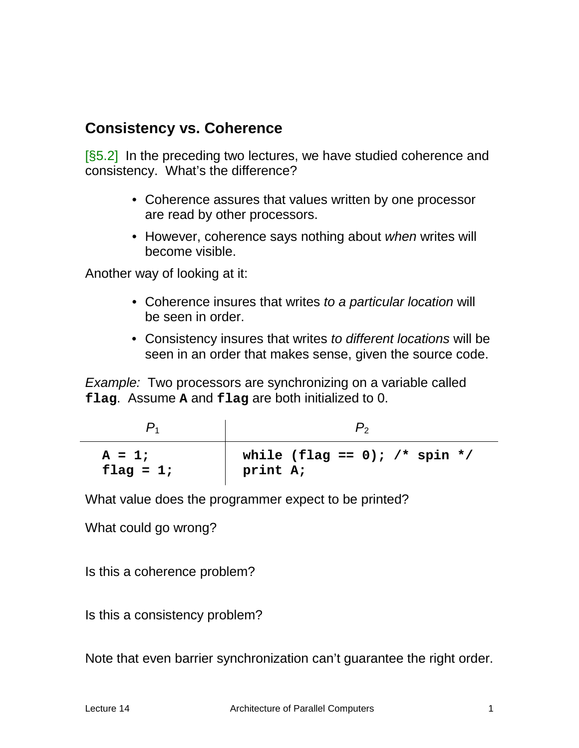# **Consistency vs. Coherence**

[§5.2] In the preceding two lectures, we have studied coherence and consistency. What's the difference?

- Coherence assures that values written by one processor are read by other processors.
- However, coherence says nothing about *when* writes will become visible.

Another way of looking at it:

- Coherence insures that writes *to a particular location* will be seen in order.
- Consistency insures that writes *to different locations* will be seen in an order that makes sense, given the source code.

*Example:* Two processors are synchronizing on a variable called **flag**. Assume **A** and **flag** are both initialized to 0.

| $A = 1;$<br>flag = $1;$ | while (flag == 0); /* spin */<br>print A; |  |  |
|-------------------------|-------------------------------------------|--|--|

What value does the programmer expect to be printed?

What could go wrong?

Is this a coherence problem?

Is this a consistency problem?

Note that even barrier synchronization can't guarantee the right order.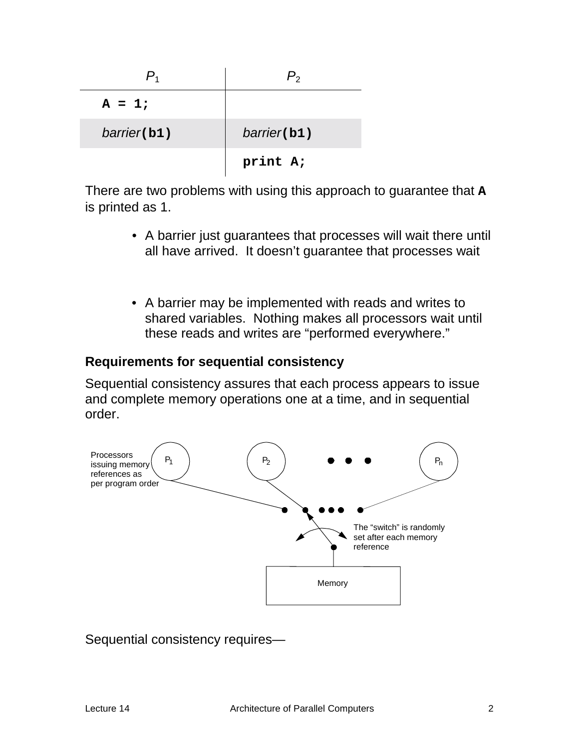| $A = 1;$    |             |
|-------------|-------------|
| barrier(b1) | barrier(b1) |
|             | print A;    |

There are two problems with using this approach to guarantee that **A** is printed as 1.

- A barrier just guarantees that processes will wait there until all have arrived. It doesn't guarantee that processes wait
- A barrier may be implemented with reads and writes to shared variables. Nothing makes all processors wait until these reads and writes are "performed everywhere."

#### **Requirements for sequential consistency**

Sequential consistency assures that each process appears to issue and complete memory operations one at a time, and in sequential order.



#### Sequential consistency requires—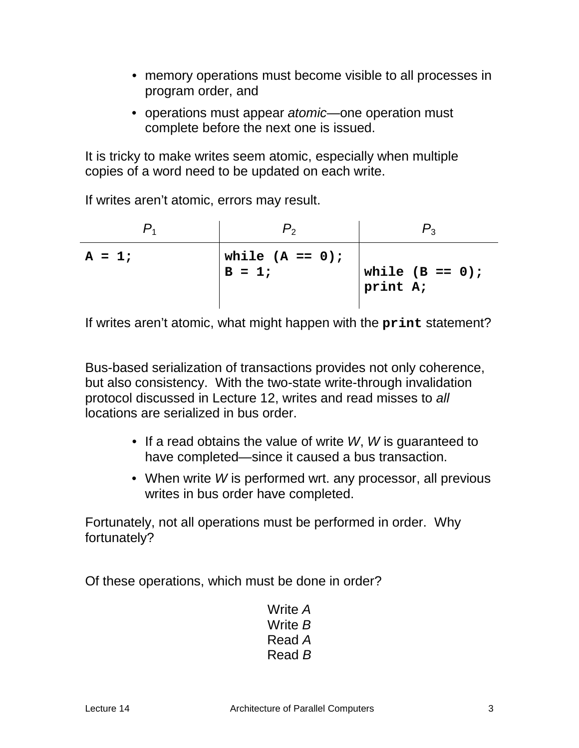- memory operations must become visible to all processes in program order, and
- operations must appear *atomic*—one operation must complete before the next one is issued.

It is tricky to make writes seem atomic, especially when multiple copies of a word need to be updated on each write.

If writes aren't atomic, errors may result.

| $A = 1;$ | while $(A == 0)$ ;<br>$B = 1$ ; | while $(B == 0)$ ;<br>print A; |
|----------|---------------------------------|--------------------------------|

If writes aren't atomic, what might happen with the **print** statement?

Bus-based serialization of transactions provides not only coherence, but also consistency. With the two-state write-through invalidation protocol discussed in Lecture 12, writes and read misses to *all* locations are serialized in bus order.

- If a read obtains the value of write *W*, *W* is guaranteed to have completed—since it caused a bus transaction.
- When write *W* is performed wrt. any processor, all previous writes in bus order have completed.

Fortunately, not all operations must be performed in order. Why fortunately?

Of these operations, which must be done in order?

Write *A* Write *B* Read *A* Read *B*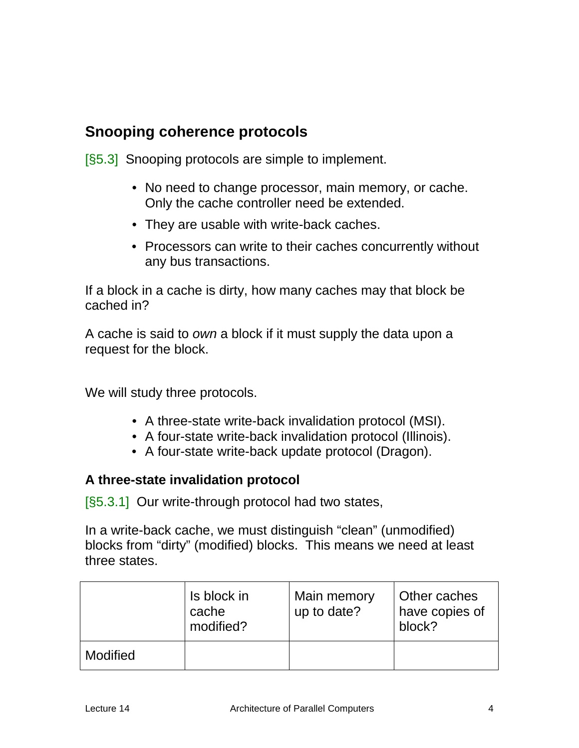# **Snooping coherence protocols**

[§5.3] Snooping protocols are simple to implement.

- No need to change processor, main memory, or cache. Only the cache controller need be extended.
- They are usable with write-back caches.
- Processors can write to their caches concurrently without any bus transactions.

If a block in a cache is dirty, how many caches may that block be cached in?

A cache is said to *own* a block if it must supply the data upon a request for the block.

We will study three protocols.

- A three-state write-back invalidation protocol (MSI).
- A four-state write-back invalidation protocol (Illinois).
- A four-state write-back update protocol (Dragon).

### **A three-state invalidation protocol**

[§5.3.1] Our write-through protocol had two states,

In a write-back cache, we must distinguish "clean" (unmodified) blocks from "dirty" (modified) blocks. This means we need at least three states.

|          | Is block in<br>cache<br>modified? | Main memory<br>up to date? | Other caches<br>have copies of<br>block? |
|----------|-----------------------------------|----------------------------|------------------------------------------|
| Modified |                                   |                            |                                          |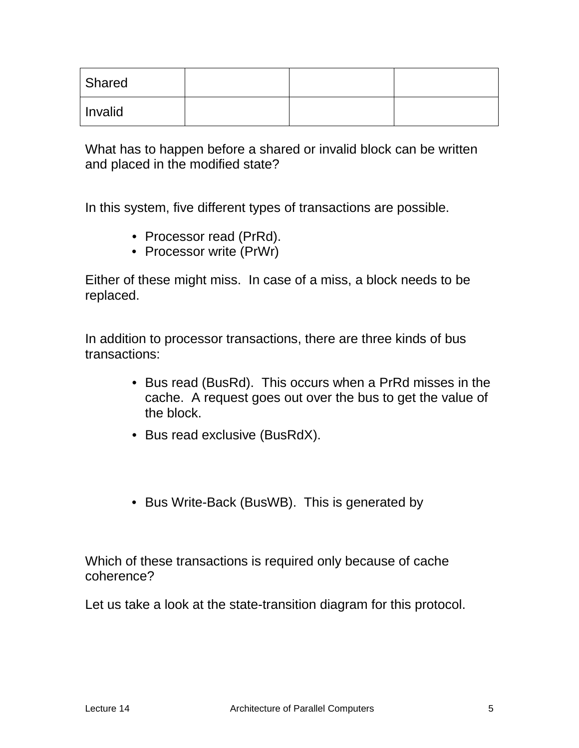| Shared  |  |  |
|---------|--|--|
| Invalid |  |  |

What has to happen before a shared or invalid block can be written and placed in the modified state?

In this system, five different types of transactions are possible.

- Processor read (PrRd).
- Processor write (PrWr)

Either of these might miss. In case of a miss, a block needs to be replaced.

In addition to processor transactions, there are three kinds of bus transactions:

- Bus read (BusRd). This occurs when a PrRd misses in the cache. A request goes out over the bus to get the value of the block.
- Bus read exclusive (BusRdX).
- Bus Write-Back (BusWB). This is generated by

Which of these transactions is required only because of cache coherence?

Let us take a look at the state-transition diagram for this protocol.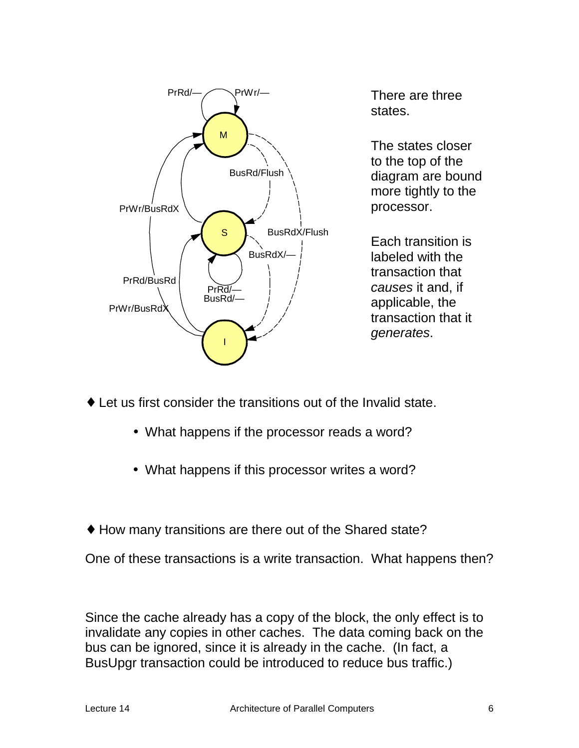

There are three states.

The states closer to the top of the diagram are bound more tightly to the processor.

Each transition is labeled with the transaction that *causes* it and, if applicable, the transaction that it *generates*.

- $\bullet$  Let us first consider the transitions out of the Invalid state.
	- What happens if the processor reads a word?
	- What happens if this processor writes a word?
- ♦ How many transitions are there out of the Shared state?

One of these transactions is a write transaction. What happens then?

Since the cache already has a copy of the block, the only effect is to invalidate any copies in other caches. The data coming back on the bus can be ignored, since it is already in the cache. (In fact, a BusUpgr transaction could be introduced to reduce bus traffic.)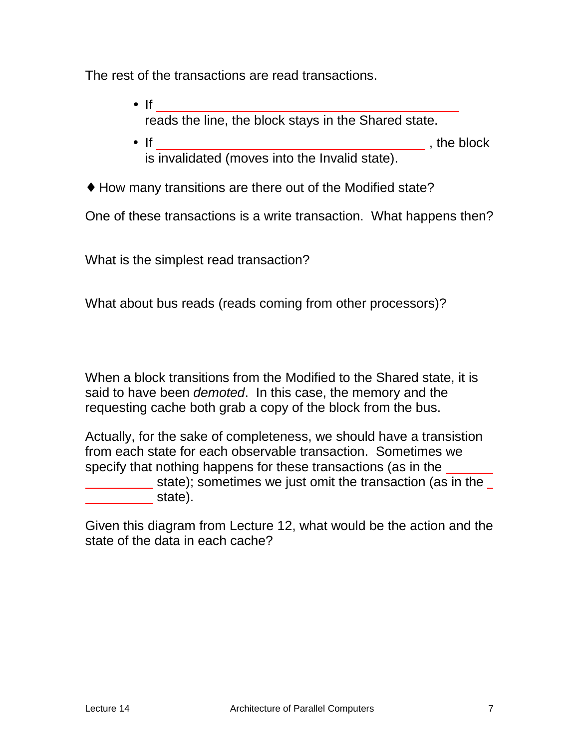The rest of the transactions are read transactions.

- $\bullet$  If  $\bullet$  if  $\bullet$  if  $\bullet$  if  $\bullet$  if  $\bullet$  if  $\bullet$  if  $\bullet$  if  $\bullet$  if  $\bullet$  if  $\bullet$  if  $\bullet$  if  $\bullet$  if  $\bullet$  if  $\bullet$  if  $\bullet$  if  $\bullet$  if  $\bullet$  if  $\bullet$  if  $\bullet$  if  $\bullet$  if  $\bullet$  if  $\bullet$  if  $\bullet$  if  $\bullet$  if  $\bullet$  if  $\bullet$  if  $\bullet$  reads the line, the block stays in the Shared state.
- If , the block is invalidated (moves into the Invalid state).
- ♦ How many transitions are there out of the Modified state?

One of these transactions is a write transaction. What happens then?

What is the simplest read transaction?

What about bus reads (reads coming from other processors)?

When a block transitions from the Modified to the Shared state, it is said to have been *demoted*. In this case, the memory and the requesting cache both grab a copy of the block from the bus.

Actually, for the sake of completeness, we should have a transistion from each state for each observable transaction. Sometimes we specify that nothing happens for these transactions (as in the

state); sometimes we just omit the transaction (as in the **state**).

Given this diagram from Lecture 12, what would be the action and the state of the data in each cache?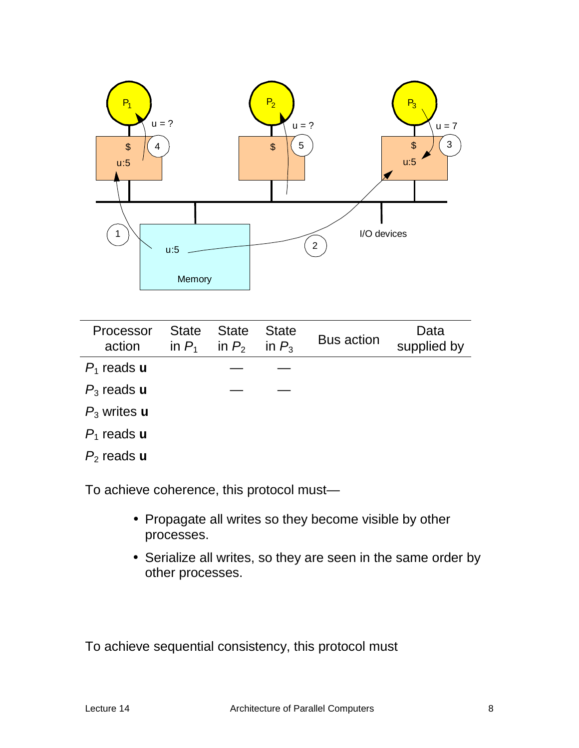

| Processor<br>action   | <b>State</b><br>in $P_1$ | <b>State</b><br>in $P_2$ | <b>State</b><br>in $P_3$ | <b>Bus action</b> | Data<br>supplied by |
|-----------------------|--------------------------|--------------------------|--------------------------|-------------------|---------------------|
| $P_1$ reads u         |                          |                          |                          |                   |                     |
| $P_3$ reads u         |                          |                          |                          |                   |                     |
| $P_3$ writes $\bf{u}$ |                          |                          |                          |                   |                     |
| $P_1$ reads u         |                          |                          |                          |                   |                     |
| $P_2$ reads $\bf{u}$  |                          |                          |                          |                   |                     |

To achieve coherence, this protocol must—

- Propagate all writes so they become visible by other processes.
- Serialize all writes, so they are seen in the same order by other processes.

To achieve sequential consistency, this protocol must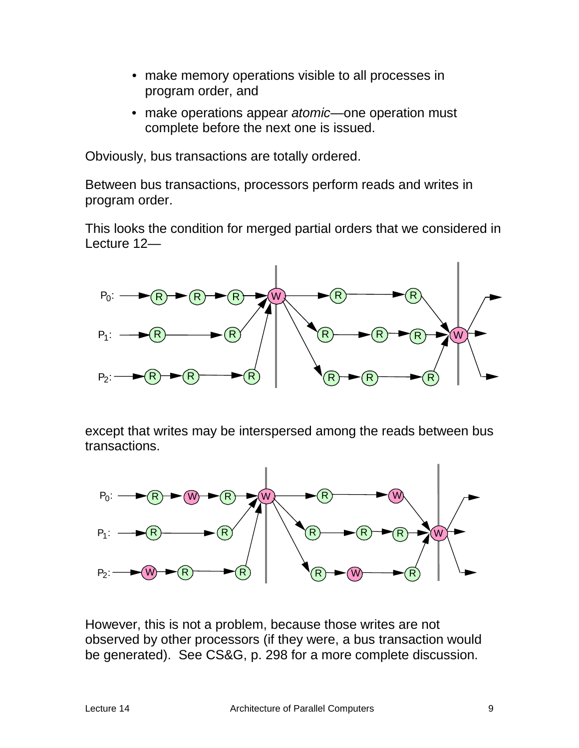- make memory operations visible to all processes in program order, and
- make operations appear *atomic*—one operation must complete before the next one is issued.

Obviously, bus transactions are totally ordered.

Between bus transactions, processors perform reads and writes in program order.

This looks the condition for merged partial orders that we considered in Lecture 12—



except that writes may be interspersed among the reads between bus transactions.



However, this is not a problem, because those writes are not observed by other processors (if they were, a bus transaction would be generated). See CS&G, p. 298 for a more complete discussion.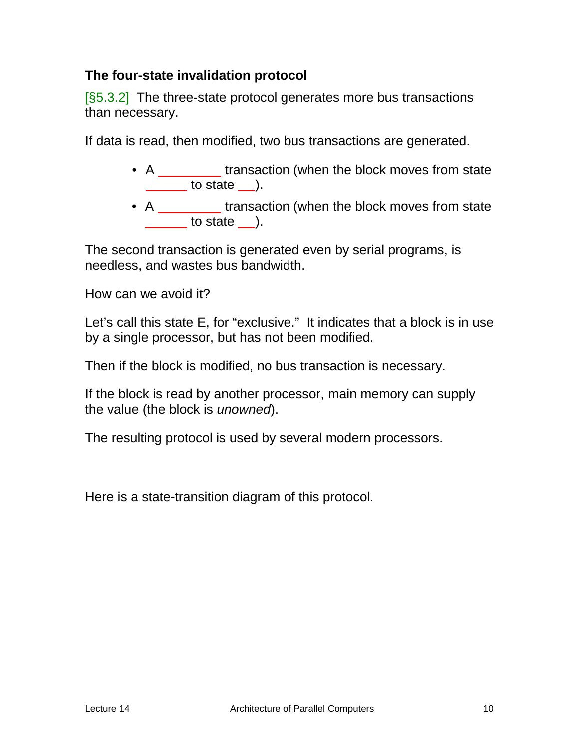### **The four-state invalidation protocol**

[§5.3.2] The three-state protocol generates more bus transactions than necessary.

If data is read, then modified, two bus transactions are generated.

- A \_\_\_\_\_\_\_\_ transaction (when the block moves from state to state ).
- A transaction (when the block moves from state to state ).

The second transaction is generated even by serial programs, is needless, and wastes bus bandwidth.

How can we avoid it?

Let's call this state E, for "exclusive." It indicates that a block is in use by a single processor, but has not been modified.

Then if the block is modified, no bus transaction is necessary.

If the block is read by another processor, main memory can supply the value (the block is *unowned*).

The resulting protocol is used by several modern processors.

Here is a state-transition diagram of this protocol.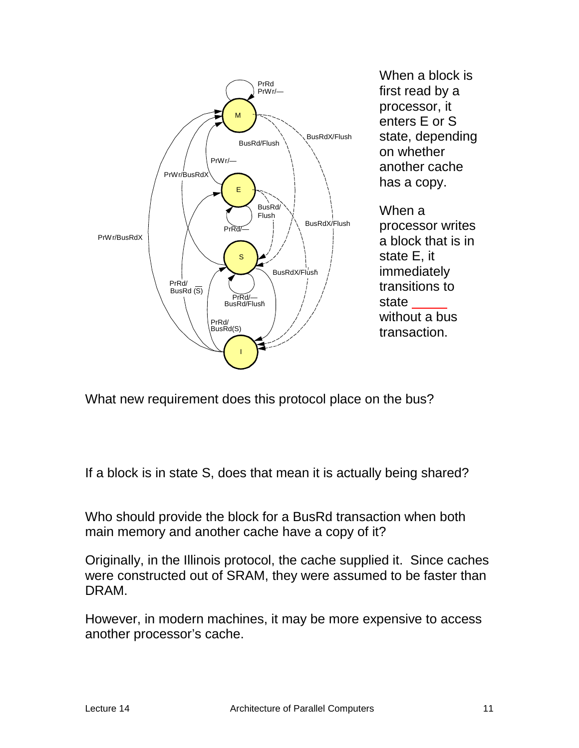

What new requirement does this protocol place on the bus?

If a block is in state S, does that mean it is actually being shared?

Who should provide the block for a BusRd transaction when both main memory and another cache have a copy of it?

Originally, in the Illinois protocol, the cache supplied it. Since caches were constructed out of SRAM, they were assumed to be faster than DRAM.

However, in modern machines, it may be more expensive to access another processor's cache.